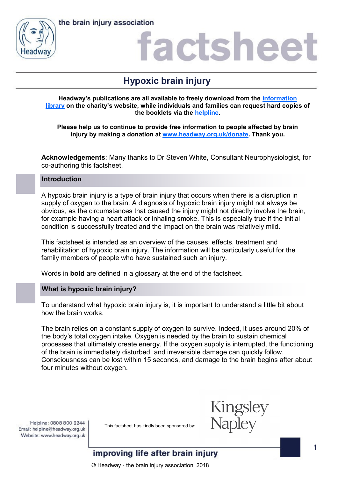



### actshee

### **Hypoxic brain injury**

**Headway's publications are all available to freely download from the [information](https://www.headway.org.uk/about-brain-injury/individuals/information-library/)  [library](https://www.headway.org.uk/about-brain-injury/individuals/information-library/) on the charity's website, while individuals and families can request hard copies of the booklets via the [helpline.](https://www.headway.org.uk/supporting-you/helpline/)** 

**Please help us to continue to provide free information to people affected by brain injury by making a donation at [www.headway.org.uk/donate.](http://www.headway.org.uk/donate) Thank you.** 

**Acknowledgements**: Many thanks to Dr Steven White, Consultant Neurophysiologist, for co-authoring this factsheet.

### **Introduction**

A hypoxic brain injury is a type of brain injury that occurs when there is a disruption in supply of oxygen to the brain. A diagnosis of hypoxic brain injury might not always be obvious, as the circumstances that caused the injury might not directly involve the brain, for example having a heart attack or inhaling smoke. This is especially true if the initial condition is successfully treated and the impact on the brain was relatively mild.

This factsheet is intended as an overview of the causes, effects, treatment and rehabilitation of hypoxic brain injury. The information will be particularly useful for the family members of people who have sustained such an injury.

Words in **bold** are defined in a glossary at the end of the factsheet.

### **What is hypoxic brain injury?**

To understand what hypoxic brain injury is, it is important to understand a little bit about how the brain works.

The brain relies on a constant supply of oxygen to survive. Indeed, it uses around 20% of the body's total oxygen intake. Oxygen is needed by the brain to sustain chemical processes that ultimately create energy. If the oxygen supply is interrupted, the functioning of the brain is immediately disturbed, and irreversible damage can quickly follow. Consciousness can be lost within 15 seconds, and damage to the brain begins after about four minutes without oxygen.

Helpline: 0808 800 2244 Email: helpline@headway.org.uk Website: www.headway.org.uk

This factsheet has kindly been sponsored by:



### improving life after brain injury

© Headway - the brain injury association, 2018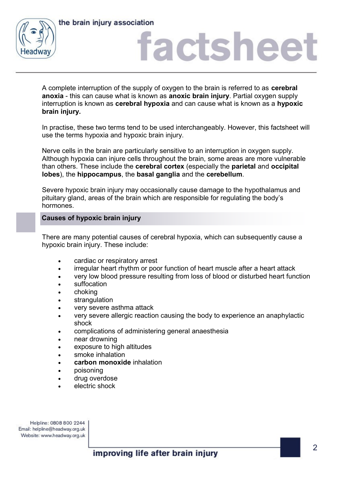



## actsheet

A complete interruption of the supply of oxygen to the brain is referred to as **cerebral anoxia** - this can cause what is known as **anoxic brain injury**. Partial oxygen supply interruption is known as **cerebral hypoxia** and can cause what is known as a **hypoxic brain injury.** 

In practise, these two terms tend to be used interchangeably. However, this factsheet will use the terms hypoxia and hypoxic brain injury.

Nerve cells in the brain are particularly sensitive to an interruption in oxygen supply. Although hypoxia can injure cells throughout the brain, some areas are more vulnerable than others. These include the **cerebral cortex** (especially the **parietal** and **occipital lobes**), the **hippocampus**, the **basal ganglia** and the **cerebellum**.

Severe hypoxic brain injury may occasionally cause damage to the hypothalamus and pituitary gland, areas of the brain which are responsible for regulating the body's hormones.

### **Causes of hypoxic brain injury**

There are many potential causes of cerebral hypoxia, which can subsequently cause a hypoxic brain injury. These include:

- cardiac or respiratory arrest
- irregular heart rhythm or poor function of heart muscle after a heart attack
- very low blood pressure resulting from loss of blood or disturbed heart function
- suffocation
- choking
- strangulation
- very severe asthma attack
- very severe allergic reaction causing the body to experience an anaphylactic shock
- complications of administering general anaesthesia
- near drowning
- exposure to high altitudes
- smoke inhalation
- **carbon monoxide** inhalation
- poisoning
- drug overdose
- electric shock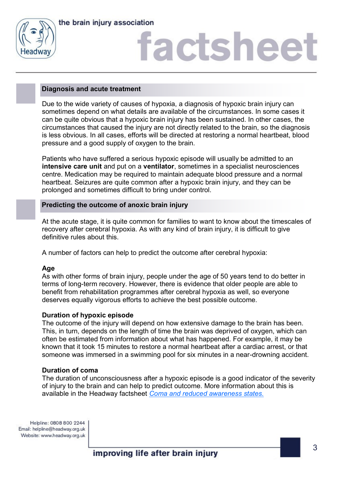

the brain injury association

# **factshee**

### **Diagnosis and acute treatment**

Due to the wide variety of causes of hypoxia, a diagnosis of hypoxic brain injury can sometimes depend on what details are available of the circumstances. In some cases it can be quite obvious that a hypoxic brain injury has been sustained. In other cases, the circumstances that caused the injury are not directly related to the brain, so the diagnosis is less obvious. In all cases, efforts will be directed at restoring a normal heartbeat, blood pressure and a good supply of oxygen to the brain.

Patients who have suffered a serious hypoxic episode will usually be admitted to an **intensive care unit** and put on a **ventilator**, sometimes in a specialist neurosciences centre. Medication may be required to maintain adequate blood pressure and a normal heartbeat. Seizures are quite common after a hypoxic brain injury, and they can be prolonged and sometimes difficult to bring under control.

### **Predicting the outcome of anoxic brain injury**

At the acute stage, it is quite common for families to want to know about the timescales of recovery after cerebral hypoxia. As with any kind of brain injury, it is difficult to give definitive rules about this.

A number of factors can help to predict the outcome after cerebral hypoxia:

### **Age**

As with other forms of brain injury, people under the age of 50 years tend to do better in terms of long-term recovery. However, there is evidence that older people are able to benefit from rehabilitation programmes after cerebral hypoxia as well, so everyone deserves equally vigorous efforts to achieve the best possible outcome.

### **Duration of hypoxic episode**

The outcome of the injury will depend on how extensive damage to the brain has been. This, in turn, depends on the length of time the brain was deprived of oxygen, which can often be estimated from information about what has happened. For example, it may be known that it took 15 minutes to restore a normal heartbeat after a cardiac arrest, or that someone was immersed in a swimming pool for six minutes in a near-drowning accident.

### **Duration of coma**

The duration of unconsciousness after a hypoxic episode is a good indicator of the severity of injury to the brain and can help to predict outcome. More information about this is available in the Headway factsheet *[Coma and reduced awareness states.](https://www.headway.org.uk/media/2794/coma-and-reduced-awareness-states-factsheet.pdf)*

Helpline: 0808 800 2244 Email: helpline@headway.org.uk Website: www.headway.org.uk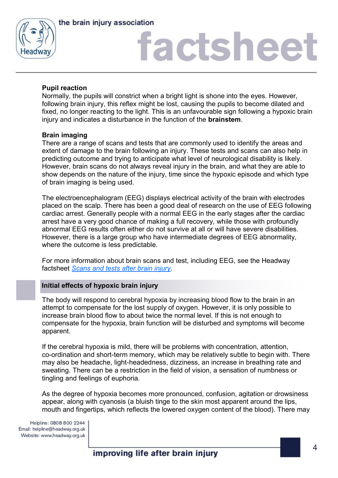

the brain injury association

# **factshee**

### **Pupil reaction**

Normally, the pupils will constrict when a bright light is shone into the eyes. However, following brain injury, this reflex might be lost, causing the pupils to become dilated and fixed, no longer reacting to the light. This is an unfavourable sign following a hypoxic brain injury and indicates a disturbance in the function of the **brainstem**.

### **Brain imaging**

There are a range of scans and tests that are commonly used to identify the areas and extent of damage to the brain following an injury. These tests and scans can also help in predicting outcome and trying to anticipate what level of neurological disability is likely. However, brain scans do not always reveal injury in the brain, and what they are able to show depends on the nature of the injury, time since the hypoxic episode and which type of brain imaging is being used.

The electroencephalogram (EEG) displays electrical activity of the brain with electrodes placed on the scalp. There has been a good deal of research on the use of EEG following cardiac arrest. Generally people with a normal EEG in the early stages after the cardiac arrest have a very good chance of making a full recovery, while those with profoundly abnormal EEG results often either do not survive at all or will have severe disabilities. However, there is a large group who have intermediate degrees of EEG abnormality, where the outcome is less predictable.

For more information about brain scans and test, including EEG, see the Headway factsheet *[Scans and tests after brain injury.](https://www.headway.org.uk/media/5375/scans-and-tests-after-brain-injury-factsheet.pdf)* 

### **Initial effects of hypoxic brain injury**

The body will respond to cerebral hypoxia by increasing blood flow to the brain in an attempt to compensate for the lost supply of oxygen. However, it is only possible to increase brain blood flow to about twice the normal level. If this is not enough to compensate for the hypoxia, brain function will be disturbed and symptoms will become apparent.

If the cerebral hypoxia is mild, there will be problems with concentration, attention, co-ordination and short-term memory, which may be relatively subtle to begin with. There may also be headache, light-headedness, dizziness, an increase in breathing rate and sweating. There can be a restriction in the field of vision, a sensation of numbness or tingling and feelings of euphoria.

As the degree of hypoxia becomes more pronounced, confusion, agitation or drowsiness appear, along with cyanosis (a bluish tinge to the skin most apparent around the lips, mouth and fingertips, which reflects the lowered oxygen content of the blood). There may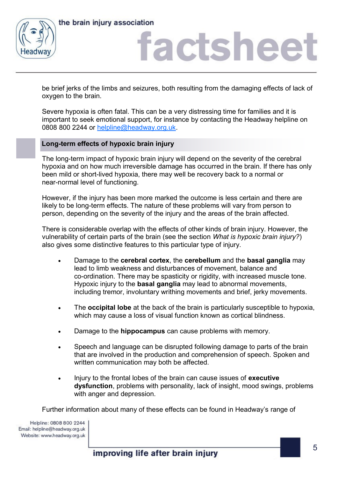

the brain injury association

## actshee

be brief jerks of the limbs and seizures, both resulting from the damaging effects of lack of oxygen to the brain.

Severe hypoxia is often fatal. This can be a very distressing time for families and it is important to seek emotional support, for instance by contacting the Headway helpline on 0808 800 2244 or [helpline@headway.org.uk.](mailto:helpline@headway.org.uk)

### **Long-term effects of hypoxic brain injury**

The long-term impact of hypoxic brain injury will depend on the severity of the cerebral hypoxia and on how much irreversible damage has occurred in the brain. If there has only been mild or short-lived hypoxia, there may well be recovery back to a normal or near-normal level of functioning.

However, if the injury has been more marked the outcome is less certain and there are likely to be long-term effects. The nature of these problems will vary from person to person, depending on the severity of the injury and the areas of the brain affected.

There is considerable overlap with the effects of other kinds of brain injury. However, the vulnerability of certain parts of the brain (see the section *What is hypoxic brain injury?*) also gives some distinctive features to this particular type of injury.

- Damage to the **cerebral cortex**, the **cerebellum** and the **basal ganglia** may lead to limb weakness and disturbances of movement, balance and co-ordination. There may be spasticity or rigidity, with increased muscle tone. Hypoxic injury to the **basal ganglia** may lead to abnormal movements, including tremor, involuntary writhing movements and brief, jerky movements.
- The **occipital lobe** at the back of the brain is particularly susceptible to hypoxia, which may cause a loss of visual function known as cortical blindness.
- Damage to the **hippocampus** can cause problems with memory.
- Speech and language can be disrupted following damage to parts of the brain that are involved in the production and comprehension of speech. Spoken and written communication may both be affected.
- Injury to the frontal lobes of the brain can cause issues of **executive dysfunction**, problems with personality, lack of insight, mood swings, problems with anger and depression.

Further information about many of these effects can be found in Headway's range of

Helpline: 0808 800 2244 Email: helpline@headway.org.uk Website: www.headway.org.uk

improving life after brain injury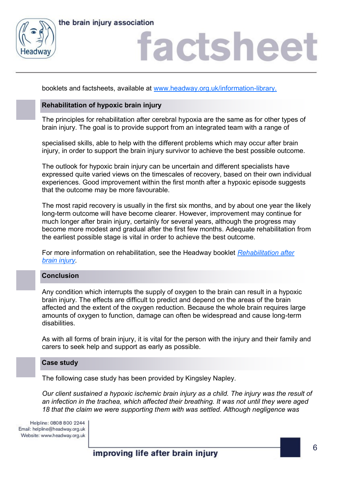



## actshee

booklets and factsheets, available at [www.headway.org.uk/information-library.](http://www.headway.org.uk/information-library)

### **Rehabilitation of hypoxic brain injury**

The principles for rehabilitation after cerebral hypoxia are the same as for other types of brain injury. The goal is to provide support from an integrated team with a range of

specialised skills, able to help with the different problems which may occur after brain injury, in order to support the brain injury survivor to achieve the best possible outcome.

The outlook for hypoxic brain injury can be uncertain and different specialists have expressed quite varied views on the timescales of recovery, based on their own individual experiences. Good improvement within the first month after a hypoxic episode suggests that the outcome may be more favourable.

The most rapid recovery is usually in the first six months, and by about one year the likely long-term outcome will have become clearer. However, improvement may continue for much longer after brain injury, certainly for several years, although the progress may become more modest and gradual after the first few months. Adequate rehabilitation from the earliest possible stage is vital in order to achieve the best outcome.

For more information on rehabilitation, see the Headway booklet *[Rehabilitation after](https://www.headway.org.uk/media/4001/rehabilitation-after-brain-injury-e-booklet.pdf)  [brain injury.](https://www.headway.org.uk/media/4001/rehabilitation-after-brain-injury-e-booklet.pdf)* 

### **Conclusion**

Any condition which interrupts the supply of oxygen to the brain can result in a hypoxic brain injury. The effects are difficult to predict and depend on the areas of the brain affected and the extent of the oxygen reduction. Because the whole brain requires large amounts of oxygen to function, damage can often be widespread and cause long-term disabilities.

As with all forms of brain injury, it is vital for the person with the injury and their family and carers to seek help and support as early as possible.

### **Case study**

The following case study has been provided by Kingsley Napley.

*Our client sustained a hypoxic ischemic brain injury as a child. The injury was the result of an infection in the trachea, which affected their breathing. It was not until they were aged 18 that the claim we were supporting them with was settled. Although negligence was* 

Helpline: 0808 800 2244 Email: helpline@headway.org.uk Website: www.headway.org.uk

improving life after brain injury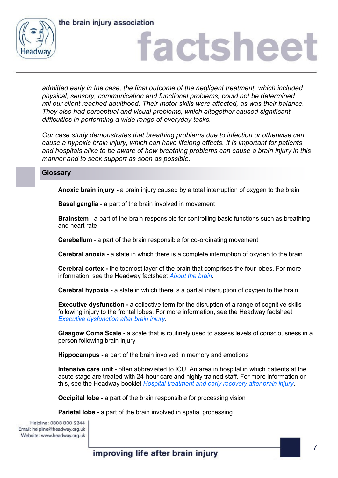



# actshee

*admitted early in the case, the final outcome of the negligent treatment, which included physical, sensory, communication and functional problems, could not be determined ntil our client reached adulthood. Their motor skills were affected, as was their balance. They also had perceptual and visual problems, which altogether caused significant difficulties in performing a wide range of everyday tasks.* 

*Our case study demonstrates that breathing problems due to infection or otherwise can cause a hypoxic brain injury, which can have lifelong effects. It is important for patients and hospitals alike to be aware of how breathing problems can cause a brain injury in this manner and to seek support as soon as possible.* 

### **Glossary**

**Anoxic brain injury -** a brain injury caused by a total interruption of oxygen to the brain

**Basal ganglia** - a part of the brain involved in movement

**Brainstem** - a part of the brain responsible for controlling basic functions such as breathing and heart rate

**Cerebellum** - a part of the brain responsible for co-ordinating movement

**Cerebral anoxia -** a state in which there is a complete interruption of oxygen to the brain

**Cerebral cortex -** the topmost layer of the brain that comprises the four lobes. For more information, see the Headway factsheet *[About the brain.](https://www.headway.org.uk/media/3875/about-the-brain-factsheet.pdf)* 

**Cerebral hypoxia -** a state in which there is a partial interruption of oxygen to the brain

**Executive dysfunction -** a collective term for the disruption of a range of cognitive skills following injury to the frontal lobes. For more information, see the Headway factsheet *[Executive dysfunction after brain injury.](https://www.headway.org.uk/media/2801/executive-dysfunction-after-brain-injury-factsheet.pdf)* 

**Glasgow Coma Scale -** a scale that is routinely used to assess levels of consciousness in a person following brain injury

**Hippocampus -** a part of the brain involved in memory and emotions

**Intensive care unit** - often abbreviated to ICU. An area in hospital in which patients at the acute stage are treated with 24-hour care and highly trained staff. For more information on this, see the Headway booklet *[Hospital treatment and early recovery after brain injury.](https://www.headway.org.uk/media/3993/hospital-treatment-and-early-recovery-after-brain-injury-e-booklet.pdf)*

**Occipital lobe -** a part of the brain responsible for processing vision

**Parietal lobe -** a part of the brain involved in spatial processing

Helpline: 0808 800 2244 Email: helpline@headway.org.uk Website: www.headway.org.uk

improving life after brain injury